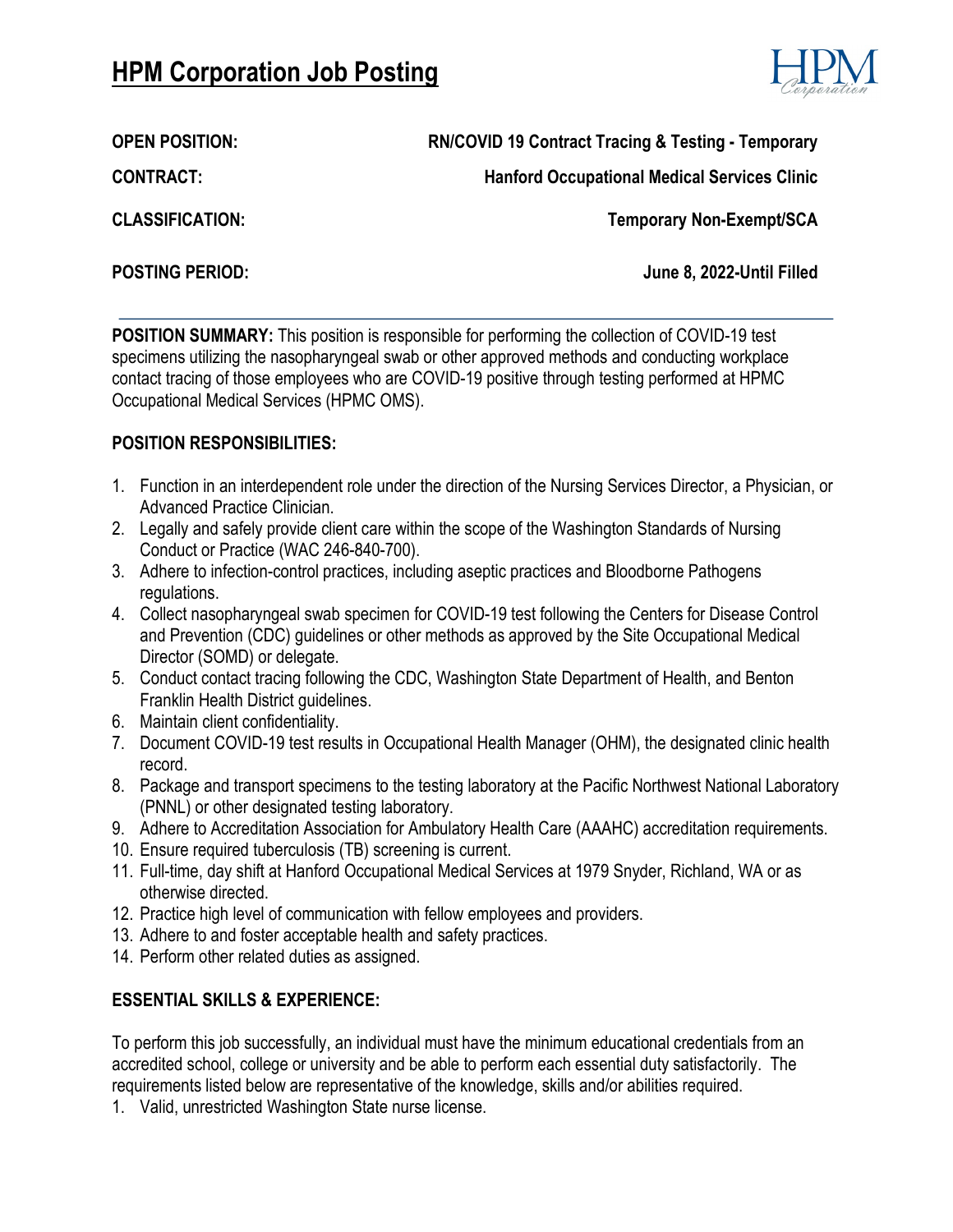# **HPM Corporation Job Posting**



**OPEN POSITION: RN/COVID 19 Contract Tracing & Testing - Temporary**

**Hanford Occupational Medical Services Clinic**

**CONTRACT:**

**CLASSIFICATION:**

**Temporary Non-Exempt/SCA**

**POSTING PERIOD: June 8, 2022-Until Filled**

**POSITION SUMMARY:** This position is responsible for performing the collection of COVID-19 test specimens utilizing the nasopharyngeal swab or other approved methods and conducting workplace contact tracing of those employees who are COVID-19 positive through testing performed at HPMC Occupational Medical Services (HPMC OMS).

### **POSITION RESPONSIBILITIES:**

- 1. Function in an interdependent role under the direction of the Nursing Services Director, a Physician, or Advanced Practice Clinician.
- 2. Legally and safely provide client care within the scope of the Washington Standards of Nursing Conduct or Practice (WAC 246-840-700).
- 3. Adhere to infection-control practices, including aseptic practices and Bloodborne Pathogens regulations.
- 4. Collect nasopharyngeal swab specimen for COVID-19 test following the Centers for Disease Control and Prevention (CDC) guidelines or other methods as approved by the Site Occupational Medical Director (SOMD) or delegate.
- 5. Conduct contact tracing following the CDC, Washington State Department of Health, and Benton Franklin Health District guidelines.
- 6. Maintain client confidentiality.
- 7. Document COVID-19 test results in Occupational Health Manager (OHM), the designated clinic health record.
- 8. Package and transport specimens to the testing laboratory at the Pacific Northwest National Laboratory (PNNL) or other designated testing laboratory.
- 9. Adhere to Accreditation Association for Ambulatory Health Care (AAAHC) accreditation requirements.
- 10. Ensure required tuberculosis (TB) screening is current.
- 11. Full-time, day shift at Hanford Occupational Medical Services at 1979 Snyder, Richland, WA or as otherwise directed.
- 12. Practice high level of communication with fellow employees and providers.
- 13. Adhere to and foster acceptable health and safety practices.
- 14. Perform other related duties as assigned.

## **ESSENTIAL SKILLS & EXPERIENCE:**

To perform this job successfully, an individual must have the minimum educational credentials from an accredited school, college or university and be able to perform each essential duty satisfactorily. The requirements listed below are representative of the knowledge, skills and/or abilities required.

1. Valid, unrestricted Washington State nurse license.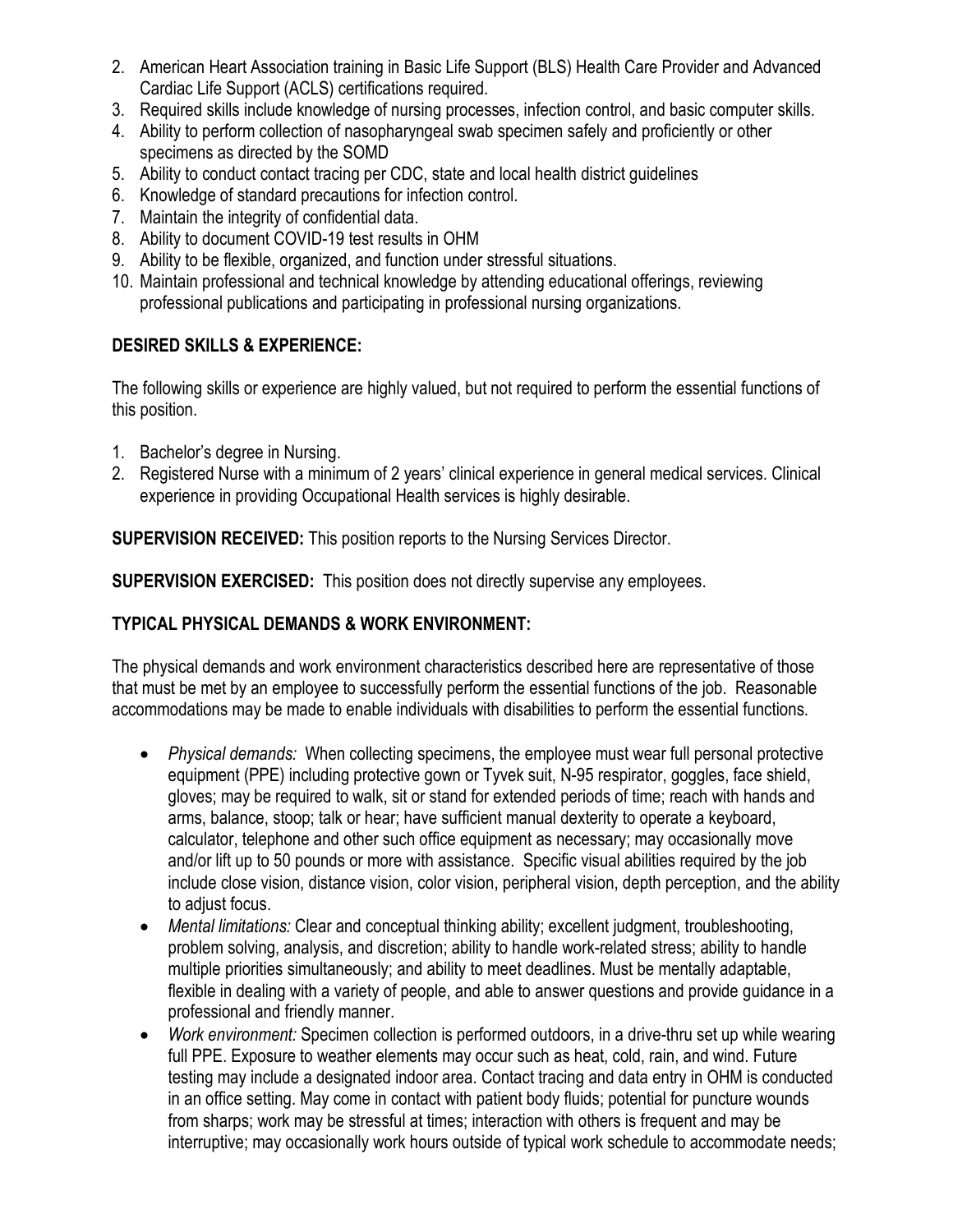- 2. American Heart Association training in Basic Life Support (BLS) Health Care Provider and Advanced Cardiac Life Support (ACLS) certifications required.
- 3. Required skills include knowledge of nursing processes, infection control, and basic computer skills.
- 4. Ability to perform collection of nasopharyngeal swab specimen safely and proficiently or other specimens as directed by the SOMD
- 5. Ability to conduct contact tracing per CDC, state and local health district guidelines
- 6. Knowledge of standard precautions for infection control.
- 7. Maintain the integrity of confidential data.
- 8. Ability to document COVID-19 test results in OHM
- 9. Ability to be flexible, organized, and function under stressful situations.
- 10. Maintain professional and technical knowledge by attending educational offerings, reviewing professional publications and participating in professional nursing organizations.

# **DESIRED SKILLS & EXPERIENCE:**

The following skills or experience are highly valued, but not required to perform the essential functions of this position.

- 1. Bachelor's degree in Nursing.
- 2. Registered Nurse with a minimum of 2 years' clinical experience in general medical services. Clinical experience in providing Occupational Health services is highly desirable.

**SUPERVISION RECEIVED:** This position reports to the Nursing Services Director.

**SUPERVISION EXERCISED:** This position does not directly supervise any employees.

## **TYPICAL PHYSICAL DEMANDS & WORK ENVIRONMENT:**

The physical demands and work environment characteristics described here are representative of those that must be met by an employee to successfully perform the essential functions of the job. Reasonable accommodations may be made to enable individuals with disabilities to perform the essential functions.

- *Physical demands:* When collecting specimens, the employee must wear full personal protective equipment (PPE) including protective gown or Tyvek suit, N-95 respirator, goggles, face shield, gloves; may be required to walk, sit or stand for extended periods of time; reach with hands and arms, balance, stoop; talk or hear; have sufficient manual dexterity to operate a keyboard, calculator, telephone and other such office equipment as necessary; may occasionally move and/or lift up to 50 pounds or more with assistance. Specific visual abilities required by the job include close vision, distance vision, color vision, peripheral vision, depth perception, and the ability to adjust focus.
- *Mental limitations:* Clear and conceptual thinking ability; excellent judgment, troubleshooting, problem solving, analysis, and discretion; ability to handle work-related stress; ability to handle multiple priorities simultaneously; and ability to meet deadlines. Must be mentally adaptable, flexible in dealing with a variety of people, and able to answer questions and provide guidance in a professional and friendly manner.
- *Work environment:* Specimen collection is performed outdoors, in a drive-thru set up while wearing full PPE. Exposure to weather elements may occur such as heat, cold, rain, and wind. Future testing may include a designated indoor area. Contact tracing and data entry in OHM is conducted in an office setting. May come in contact with patient body fluids; potential for puncture wounds from sharps; work may be stressful at times; interaction with others is frequent and may be interruptive; may occasionally work hours outside of typical work schedule to accommodate needs;